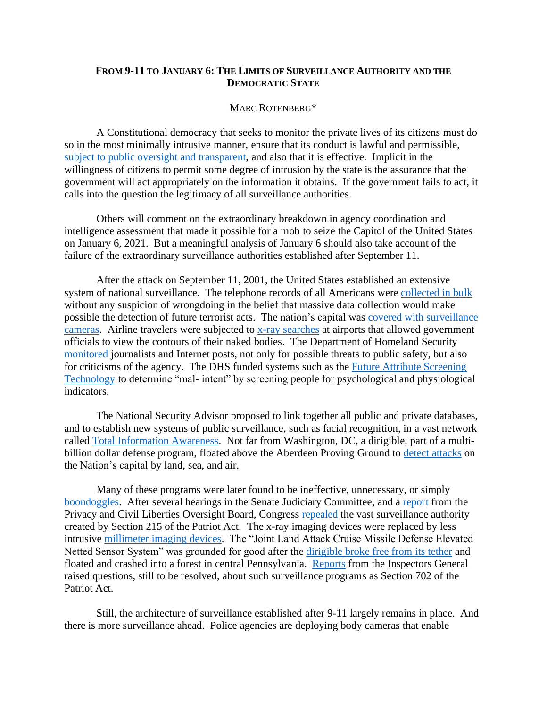## **FROM 9-11 TO JANUARY 6: THE LIMITS OF SURVEILLANCE AUTHORITY AND THE DEMOCRATIC STATE**

## MARC ROTENBERG\*

A Constitutional democracy that seeks to monitor the private lives of its citizens must do so in the most minimally intrusive manner, ensure that its conduct is lawful and permissible, subject [to public oversight](https://www.law.cornell.edu/uscode/text/18/2519) and transparent, and also that it is effective. Implicit in the willingness of citizens to permit some degree of intrusion by the state is the assurance that the government will act appropriately on the information it obtains. If the government fails to act, it calls into the question the legitimacy of all surveillance authorities.

Others will comment on the extraordinary breakdown in agency coordination and intelligence assessment that made it possible for a mob to seize the Capitol of the United States on January 6, 2021. But a meaningful analysis of January 6 should also take account of the failure of the extraordinary surveillance authorities established after September 11.

After the attack on September 11, 2001, the United States established an extensive system of national surveillance. The telephone records of all Americans were [collected in bulk](https://epic.org/privacy/nsa/in-re-epic/) without any suspicion of wrongdoing in the belief that massive data collection would make possible the detection of future terrorist acts. The nation's capital was [covered with surveillance](http://observingsurveillance.org/)  [cameras.](http://observingsurveillance.org/) Airline travelers were subjected to [x-ray searches](https://epic.org/privacy/litigation/apa/tsa/bodyscanner/) at airports that allowed government officials to view the contours of their naked bodies. The Department of Homeland Security [monitored](https://www.forbes.com/sites/michellekaminsky/2019/07/12/in-response-to-epic-lawsuit-department-of-homeland-security-suspends-journalist-database-plans/?sh=5d2f0dfa482d) journalists and Internet posts, not only for possible threats to public safety, but also for criticisms of the agency. The DHS funded systems such as the [Future Attribute Screening](https://www.dhs.gov/publication/future-attribute-screening-technology)  [Technology](https://www.dhs.gov/publication/future-attribute-screening-technology) to determine "mal- intent" by screening people for psychological and physiological indicators.

The National Security Advisor proposed to link together all public and private databases, and to establish new systems of public surveillance, such as facial recognition, in a vast network called [Total Information Awareness.](https://www.epic.org/privacy/profiling/tia/) Not far from Washington, DC, a dirigible, part of a multibillion dollar defense program, floated above the Aberdeen Proving Ground to [detect attacks](https://www.computerworld.com/article/2475827/massive-blimps-over-maryland-to-conduct-24-7-domestic-aerial-surveillance.html) on the Nation's capital by land, sea, and air.

Many of these programs were later found to be ineffective, unnecessary, or simply [boondoggles.](https://www.amazon.com/Top-Secret-America-American-Security/dp/B00AF3O2V0) After several hearings in the Senate Judiciary Committee, and a [report](https://documents.pclob.gov/prod/Documents/OversightReport/87c7e900-6162-4274-8f3a-d15e3ab9c2e4/PCLOB%20USA%20Freedom%20Act%20Report%20(Unclassified).pdf) from the Privacy and Civil Liberties Oversight Board, Congress [repealed](https://www.leahy.senate.gov/download/usa-freedom-act_background) the vast surveillance authority created by Section 215 of the Patriot Act. The x-ray imaging devices were replaced by less intrusive [millimeter imaging devices.](https://www.govtech.com/public-safety/Naked-Body-Scans-Airports-Phased-Out.html) The "Joint Land Attack Cruise Missile Defense Elevated Netted Sensor System" was grounded for good after the [dirigible broke free from its tether](https://www.washingtonpost.com/news/powerpost/wp/2016/04/23/the-runaway-surveillance-blimp-that-captivated-the-nation-is-likely-grounded-for-good/) and floated and crashed into a forest in central Pennsylvania. [Reports](https://www.intelligence.gov/index.php/ic-on-the-record-database/results/511-additional-release-of-fisa-section-702-documents) from the Inspectors General raised questions, still to be resolved, about such surveillance programs as Section 702 of the Patriot Act.

Still, the architecture of surveillance established after 9-11 largely remains in place. And there is more surveillance ahead. Police agencies are deploying body cameras that enable